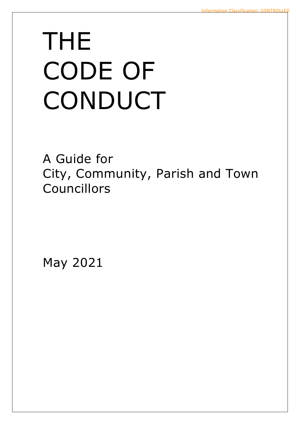# THE CODE OF **CONDUCT**

A Guide for City, Community, Parish and Town Councillors

May 2021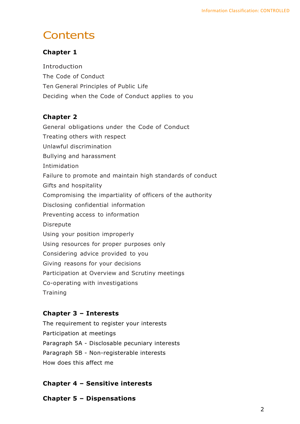# **Contents**

#### **Chapter 1**

Introduction The Code of Conduct Ten General Principles of Public Life Deciding when the Code of Conduct applies to you

#### **Chapter 2**

General obligations under the Code of Conduct Treating others with respect Unlawful discrimination Bullying and harassment Intimidation Failure to promote and maintain high standards of conduct Gifts and hospitality Compromising the impartiality of officers of the authority Disclosing confidential information Preventing access to information Disrepute Using your position improperly Using resources for proper purposes only Considering advice provided to you Giving reasons for your decisions Participation at Overview and Scrutiny meetings Co-operating with investigations **Training** 

#### **Chapter 3 – Interests**

The requirement to register your interests Participation at meetings Paragraph 5A - Disclosable pecuniary interests Paragraph 5B - Non-registerable interests How does this affect me

#### **Chapter 4 – Sensitive interests**

**Chapter 5 – Dispensations**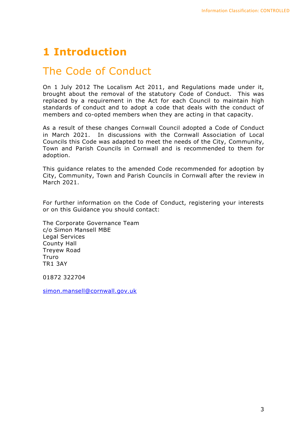# **1 Introduction**

# The Code of Conduct

On 1 July 2012 The Localism Act 2011, and Regulations made under it, brought about the removal of the statutory Code of Conduct. This was replaced by a requirement in the Act for each Council to maintain high standards of conduct and to adopt a code that deals with the conduct of members and co-opted members when they are acting in that capacity.

As a result of these changes Cornwall Council adopted a Code of Conduct in March 2021. In discussions with the Cornwall Association of Local Councils this Code was adapted to meet the needs of the City, Community, Town and Parish Councils in Cornwall and is recommended to them for adoption.

This guidance relates to the amended Code recommended for adoption by City, Community, Town and Parish Councils in Cornwall after the review in March 2021.

For further information on the Code of Conduct, registering your interests or on this Guidance you should contact:

The Corporate Governance Team c/o Simon Mansell MBE Legal Services County Hall Treyew Road Truro TR1 3AY

01872 322704

[simon.mansell@cornwall.gov.uk](mailto:simon.mansell@cornwall.gov.uk)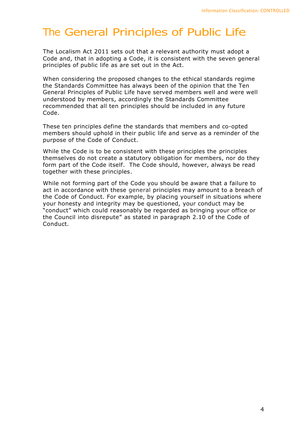# The General Principles of Public Life

The Localism Act 2011 sets out that a relevant authority must adopt a Code and, that in adopting a Code, it is consistent with the seven general principles of public life as are set out in the Act.

When considering the proposed changes to the ethical standards regime the Standards Committee has always been of the opinion that the Ten General Principles of Public Life have served members well and were well understood by members, accordingly the Standards Committee recommended that all ten principles should be included in any future Code.

These ten principles define the standards that members and co-opted members should uphold in their public life and serve as a reminder of the purpose of the Code of Conduct.

While the Code is to be consistent with these principles the principles themselves do not create a statutory obligation for members, nor do they form part of the Code itself. The Code should, however, always be read together with these principles.

While not forming part of the Code you should be aware that a failure to act in accordance with these general principles may amount to a breach of the Code of Conduct. For example, by placing yourself in situations where your honesty and integrity may be questioned, your conduct may be "conduct" which could reasonably be regarded as bringing your office or the Council into disrepute" as stated in paragraph 2.10 of the Code of Conduct.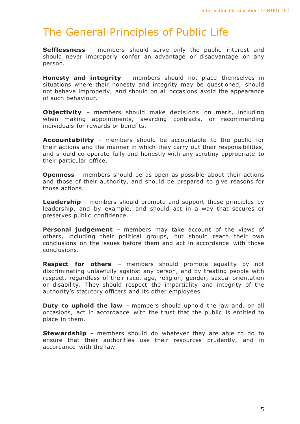# The General Principles of Public Life

**Selflessness** – members should serve only the public interest and should never improperly confer an advantage or disadvantage on any person.

**Honesty and integrity** – members should not place themselves in situations where their honesty and integrity may be questioned, should not behave improperly, and should on all occasions avoid the appearance of such behaviour.

**Objectivity** – members should make decisions on merit, including when making appointments, awarding contracts, or recommending individuals for rewards or benefits.

**Accountability** – members should be accountable to the public for their actions and the manner in which they carry out their responsibilities, and should co-operate fully and honestly with any scrutiny appropriate to their particular office.

**Openness** – members should be as open as possible about their actions and those of their authority, and should be prepared to give reasons for those actions.

**Leadership** – members should promote and support these principles by leadership, and by example, and should act in a way that secures or preserves public confidence.

**Personal judgement** – members may take account of the views of others, including their political groups, but should reach their own conclusions on the issues before them and act in accordance with those conclusions.

**Respect for others** – members should promote equality by not discriminating unlawfully against any person, and by treating people with respect, regardless of their race, age, religion, gender, sexual orientation or disability. They should respect the impartiality and integrity of the authority's statutory officers and its other employees.

**Duty to uphold the law** – members should uphold the law and, on all occasions, act in accordance with the trust that the public is entitled to place in them.

**Stewardship** – members should do whatever they are able to do to ensure that their authorities use their resources prudently, and in accordance with the law.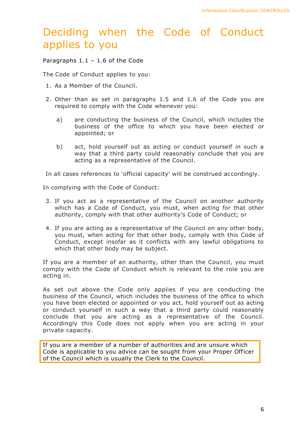# Deciding when the Code of Conduct applies to you

Paragraphs 1.1 – 1.6 of the Code

The Code of Conduct applies to you:

- 1. As a Member of the Council.
- 2. Other than as set in paragraphs 1.5 and 1.6 of the Code you are required to comply with the Code whenever you:
	- a) are conducting the business of the Council, which includes the business of the office to which you have been elected or appointed; or
	- b) act, hold yourself out as acting or conduct yourself in such a way that a third party could reasonably conclude that you are acting as a representative of the Council.

In all cases references to 'official capacity' will be construed accordingly.

In complying with the Code of Conduct:

- 3. If you act as a representative of the Council on another authority which has a Code of Conduct, you must, when acting for that other authority, comply with that other authority's Code of Conduct; or
- 4. If you are acting as a representative of the Council on any other body, you must, when acting for that other body, comply with this Code of Conduct, except insofar as it conflicts with any lawful obligations to which that other body may be subject.

If you are a member of an authority, other than the Council, you must comply with the Code of Conduct which is relevant to the role you are acting in.

As set out above the Code only applies if you are conducting the business of the Council, which includes the business of the office to which you have been elected or appointed or you act, hold yourself out as acting or conduct yourself in such a way that a third party could reasonably conclude that you are acting as a representative of the Council. Accordingly this Code does not apply when you are acting in your private capacity.

If you are a member of a number of authorities and are unsure which Code is applicable to you advice can be sought from your Proper Officer of the Council which is usually the Clerk to the Council.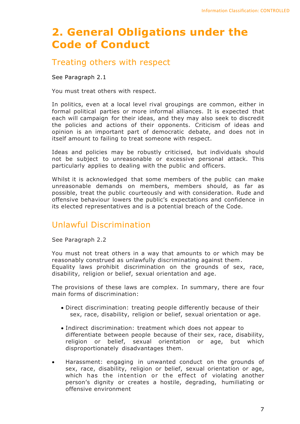# **2. General Obligations under the Code of Conduct**

### Treating others with respect

See Paragraph 2.1

You must treat others with respect.

In politics, even at a local level rival groupings are common, either in formal political parties or more informal alliances. It is expected that each will campaign for their ideas, and they may also seek to discredit the policies and actions of their opponents. Criticism of ideas and opinion is an important part of democratic debate, and does not in itself amount to failing to treat someone with respect.

Ideas and policies may be robustly criticised, but individuals should not be subject to unreasonable or excessive personal attack. This particularly applies to dealing with the public and officers.

Whilst it is acknowledged that some members of the public can make unreasonable demands on members, members should, as far as possible, treat the public courteously and with consideration. Rude and offensive behaviour lowers the public's expectations and confidence in its elected representatives and is a potential breach of the Code.

## Unlawful Discrimination

See Paragraph 2.2

You must not treat others in a way that amounts to or which may be reasonably construed as unlawfully discriminating against them. Equality laws prohibit discrimination on the grounds of sex, race, disability, religion or belief, sexual orientation and age.

The provisions of these laws are complex. In summary, there are four main forms of discrimination:

- Direct discrimination: treating people differently because of their sex, race, disability, religion or belief, sexual orientation or age.
- Indirect discrimination: treatment which does not appear to differentiate between people because of their sex, race, disability, religion or belief, sexual orientation or age, but which disproportionately disadvantages them.
- Harassment: engaging in unwanted conduct on the grounds of sex, race, disability, religion or belief, sexual orientation or age, which has the intention or the effect of violating another person's dignity or creates a hostile, degrading, humiliating or offensive environment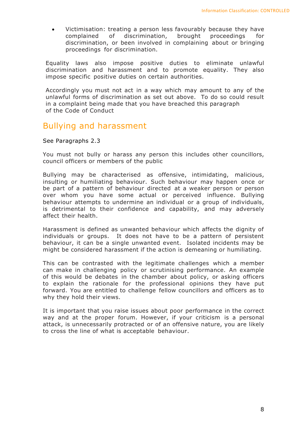• Victimisation: treating a person less favourably because they have complained of discrimination, brought proceedings for discrimination, or been involved in complaining about or bringing proceedings for discrimination.

Equality laws also impose positive duties to eliminate unlawful discrimination and harassment and to promote equality. They also impose specific positive duties on certain authorities.

Accordingly you must not act in a way which may amount to any of the unlawful forms of discrimination as set out above. To do so could result in a complaint being made that you have breached this paragraph of the Code of Conduct

#### Bullying and harassment

See Paragraphs 2.3

You must not bully or harass any person this includes other councillors, council officers or members of the public

Bullying may be characterised as offensive, intimidating, malicious, insulting or humiliating behaviour. Such behaviour may happen once or be part of a pattern of behaviour directed at a weaker person or person over whom you have some actual or perceived influence. Bullying behaviour attempts to undermine an individual or a group of individuals, is detrimental to their confidence and capability, and may adversely affect their health.

Harassment is defined as unwanted behaviour which affects the dignity of individuals or groups. It does not have to be a pattern of persistent behaviour, it can be a single unwanted event. Isolated incidents may be might be considered harassment if the action is demeaning or humiliating.

This can be contrasted with the legitimate challenges which a member can make in challenging policy or scrutinising performance. An example of this would be debates in the chamber about policy, or asking officers to explain the rationale for the professional opinions they have put forward. You are entitled to challenge fellow councillors and officers as to why they hold their views.

It is important that you raise issues about poor performance in the correct way and at the proper forum. However, if your criticism is a personal attack, is unnecessarily protracted or of an offensive nature, you are likely to cross the line of what is acceptable behaviour.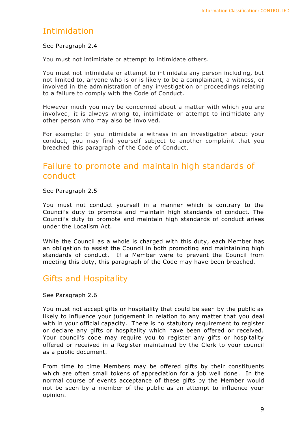## Intimidation

#### See Paragraph 2.4

You must not intimidate or attempt to intimidate others.

You must not intimidate or attempt to intimidate any person including, but not limited to, anyone who is or is likely to be a complainant, a witness, or involved in the administration of any investigation or proceedings relating to a failure to comply with the Code of Conduct.

However much you may be concerned about a matter with which you are involved, it is always wrong to, intimidate or attempt to intimidate any other person who may also be involved.

For example: If you intimidate a witness in an investigation about your conduct, you may find yourself subject to another complaint that you breached this paragraph of the Code of Conduct.

## Failure to promote and maintain high standards of conduct

See Paragraph 2.5

You must not conduct yourself in a manner which is contrary to the Council's duty to promote and maintain high standards of conduct. The Council's duty to promote and maintain high standards of conduct arises under the Localism Act.

While the Council as a whole is charged with this duty, each Member has an obligation to assist the Council in both promoting and maintaining high standards of conduct. If a Member were to prevent the Council from meeting this duty, this paragraph of the Code may have been breached.

## Gifts and Hospitality

See Paragraph 2.6

You must not accept gifts or hospitality that could be seen by the public as likely to influence your judgement in relation to any matter that you deal with in your official capacity. There is no statutory requirement to register or declare any gifts or hospitality which have been offered or received. Your council's code may require you to register any gifts or hospitality offered or received in a Register maintained by the Clerk to your council as a public document.

From time to time Members may be offered gifts by their constituents which are often small tokens of appreciation for a job well done. In the normal course of events acceptance of these gifts by the Member would not be seen by a member of the public as an attempt to influence your opinion.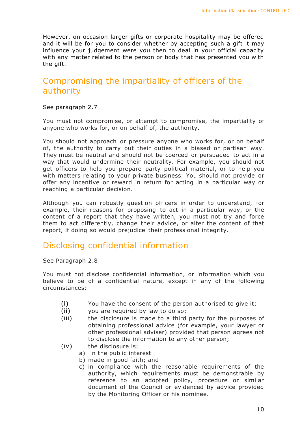However, on occasion larger gifts or corporate hospitality may be offered and it will be for you to consider whether by accepting such a gift it may influence your judgement were you then to deal in your official capacity with any matter related to the person or body that has presented you with the gift.

## Compromising the impartiality of officers of the authority

#### See paragraph 2.7

You must not compromise, or attempt to compromise, the impartiality of anyone who works for, or on behalf of, the authority.

You should not approach or pressure anyone who works for, or on behalf of, the authority to carry out their duties in a biased or partisan way. They must be neutral and should not be coerced or persuaded to act in a way that would undermine their neutrality. For example, you should not get officers to help you prepare party political material, or to help you with matters relating to your private business. You should not provide or offer any incentive or reward in return for acting in a particular way or reaching a particular decision.

Although you can robustly question officers in order to understand, for example, their reasons for proposing to act in a particular way, or the content of a report that they have written, you must not try and force them to act differently, change their advice, or alter the content of that report, if doing so would prejudice their professional integrity.

## Disclosing confidential information

See Paragraph 2.8

You must not disclose confidential information, or information which you believe to be of a confidential nature, except in any of the following circumstances:

- (i) You have the consent of the person authorised to give it;
- (ii) you are required by law to do so;
- (iii) the disclosure is made to a third party for the purposes of obtaining professional advice (for example, your lawyer or other professional adviser) provided that person agrees not to disclose the information to any other person;
- (iv) the disclosure is:
	- a) in the public interest
	- b) made in good faith; and
	- c) in compliance with the reasonable requirements of the authority, which requirements must be demonstrable by reference to an adopted policy, procedure or similar document of the Council or evidenced by advice provided by the Monitoring Officer or his nominee.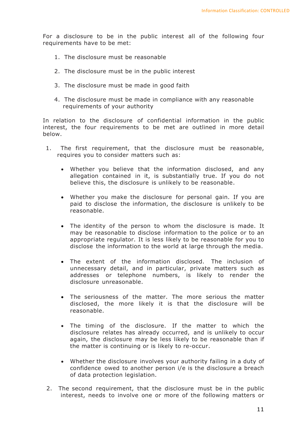For a disclosure to be in the public interest all of the following four requirements have to be met:

- 1. The disclosure must be reasonable
- 2. The disclosure must be in the public interest
- 3. The disclosure must be made in good faith
- 4. The disclosure must be made in compliance with any reasonable requirements of your authority

In relation to the disclosure of confidential information in the public interest, the four requirements to be met are outlined in more detail below.

- 1. The first requirement, that the disclosure must be reasonable, requires you to consider matters such as:
	- Whether you believe that the information disclosed, and any allegation contained in it, is substantially true. If you do not believe this, the disclosure is unlikely to be reasonable.
	- Whether you make the disclosure for personal gain. If you are paid to disclose the information, the disclosure is unlikely to be reasonable.
	- The identity of the person to whom the disclosure is made. It may be reasonable to disclose information to the police or to an appropriate regulator. It is less likely to be reasonable for you to disclose the information to the world at large through the media.
	- The extent of the information disclosed. The inclusion of unnecessary detail, and in particular, private matters such as addresses or telephone numbers, is likely to render the disclosure unreasonable.
	- The seriousness of the matter. The more serious the matter disclosed, the more likely it is that the disclosure will be reasonable.
	- The timing of the disclosure. If the matter to which the disclosure relates has already occurred, and is unlikely to occur again, the disclosure may be less likely to be reasonable than if the matter is continuing or is likely to re-occur.
	- Whether the disclosure involves your authority failing in a duty of confidence owed to another person i/e is the disclosure a breach of data protection legislation.
- 2. The second requirement, that the disclosure must be in the public interest, needs to involve one or more of the following matters or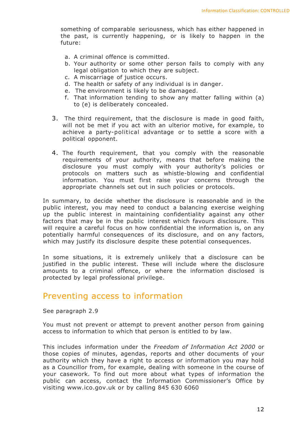something of comparable seriousness, which has either happened in the past, is currently happening, or is likely to happen in the future:

- a. A criminal offence is committed.
- b. Your authority or some other person fails to comply with any legal obligation to which they are subject.
- c. A miscarriage of justice occurs.
- d. The health or safety of any individual is in danger.
- e. The environment is likely to be damaged.
- f. That information tending to show any matter falling within (a) to (e) is deliberately concealed.
- 3. The third requirement, that the disclosure is made in good faith, will not be met if you act with an ulterior motive, for example, to achieve a party-political advantage or to settle a score with a political opponent.
- 4. The fourth requirement, that you comply with the reasonable requirements of your authority, means that before making the disclosure you must comply with your authority's policies or protocols on matters such as whistle-blowing and confidential information. You must first raise your concerns through the appropriate channels set out in such policies or protocols.

In summary, to decide whether the disclosure is reasonable and in the public interest, you may need to conduct a balancing exercise weighing up the public interest in maintaining confidentiality against any other factors that may be in the public interest which favours disclosure. This will require a careful focus on how confidential the information is, on any potentially harmful consequences of its disclosure, and on any factors, which may justify its disclosure despite these potential consequences.

In some situations, it is extremely unlikely that a disclosure can be justified in the public interest. These will include where the disclosure amounts to a criminal offence, or where the information disclosed is protected by legal professional privilege.

#### Preventing access to information

See paragraph 2.9

You must not prevent or attempt to prevent another person from gaining access to information to which that person is entitled to by law.

This includes information under the *Freedom of Information Act 2000* or those copies of minutes, agendas, reports and other documents of your authority which they have a right to access or information you may hold as a Councillor from, for example, dealing with someone in the course of your casework. To find out more about what types of information the public can access, contact the Information Commissioner's Office by visiting www.ico.gov.uk or by calling 845 630 6060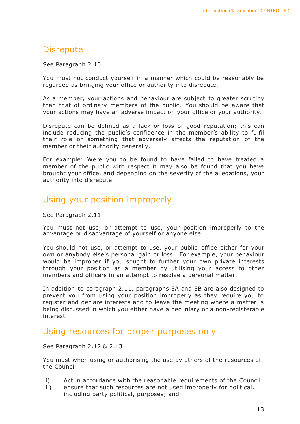## **Disrepute**

#### See Paragraph 2.10

You must not conduct yourself in a manner which could be reasonably be regarded as bringing your office or authority into disrepute.

As a member, your actions and behaviour are subject to greater scrutiny than that of ordinary members of the public. You should be aware that your actions may have an adverse impact on your office or your authority.

Disrepute can be defined as a lack or loss of good reputation; this can include reducing the public's confidence in the member's ability to fulfil their role or something that adversely affects the reputation of the member or their authority generally.

For example: Were you to be found to have failed to have treated a member of the public with respect it may also be found that you have brought your office, and depending on the severity of the allegations, your authority into disrepute.

### Using your position improperly

See Paragraph 2.11

You must not use, or attempt to use, your position improperly to the advantage or disadvantage of yourself or anyone else.

You should not use, or attempt to use, your public office either for your own or anybody else's personal gain or loss. For example, your behaviour would be improper if you sought to further your own private interests through your position as a member by utilising your access to other members and officers in an attempt to resolve a personal matter.

In addition to paragraph 2.11, paragraphs 5A and 5B are also designed to prevent you from using your position improperly as they require you to register and declare interests and to leave the meeting where a matter is being discussed in which you either have a pecuniary or a non-registerable interest

#### Using resources for proper purposes only

See Paragraph 2.12 & 2.13

You must when using or authorising the use by others of the resources of the Council:

- i) Act in accordance with the reasonable requirements of the Council.
- ii) ensure that such resources are not used improperly for political, including party political, purposes; and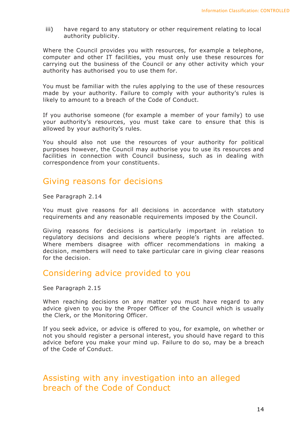iii) have regard to any statutory or other requirement relating to local authority publicity.

Where the Council provides you with resources, for example a telephone, computer and other IT facilities, you must only use these resources for carrying out the business of the Council or any other activity which your authority has authorised you to use them for.

You must be familiar with the rules applying to the use of these resources made by your authority. Failure to comply with your authority's rules is likely to amount to a breach of the Code of Conduct.

If you authorise someone (for example a member of your family) to use your authority's resources, you must take care to ensure that this is allowed by your authority's rules.

You should also not use the resources of your authority for political purposes however, the Council may authorise you to use its resources and facilities in connection with Council business, such as in dealing with correspondence from your constituents.

## Giving reasons for decisions

See Paragraph 2.14

You must give reasons for all decisions in accordance with statutory requirements and any reasonable requirements imposed by the Council.

Giving reasons for decisions is particularly important in relation to regulatory decisions and decisions where people's rights are affected. Where members disagree with officer recommendations in making a decision, members will need to take particular care in giving clear reasons for the decision.

#### Considering advice provided to you

See Paragraph 2.15

When reaching decisions on any matter you must have regard to any advice given to you by the Proper Officer of the Council which is usually the Clerk, or the Monitoring Officer.

If you seek advice, or advice is offered to you, for example, on whether or not you should register a personal interest, you should have regard to this advice before you make your mind up. Failure to do so, may be a breach of the Code of Conduct.

### Assisting with any investigation into an alleged breach of the Code of Conduct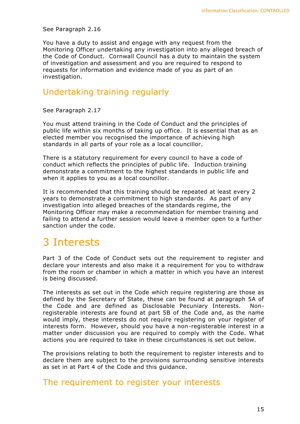#### See Paragraph 2.16

You have a duty to assist and engage with any request from the Monitoring Officer undertaking any investigation into any alleged breach of the Code of Conduct. Cornwall Council has a duty to maintain the system of investigation and assessment and you are required to respond to requests for information and evidence made of you as part of an investigation.

#### Undertaking training regularly

See Paragraph 2.17

You must attend training in the Code of Conduct and the principles of public life within six months of taking up office. It is essential that as an elected member you recognised the importance of achieving high standards in all parts of your role as a local councillor.

There is a statutory requirement for every council to have a code of conduct which reflects the principles of public life. Induction training demonstrate a commitment to the highest standards in public life and when it applies to you as a local councillor.

It is recommended that this training should be repeated at least every 2 years to demonstrate a commitment to high standards. As part of any investigation into alleged breaches of the standards regime, the Monitoring Officer may make a recommendation for member training and failing to attend a further session would leave a member open to a further sanction under the code.

# 3 Interests

Part 3 of the Code of Conduct sets out the requirement to register and declare your interests and also make it a requirement for you to withdraw from the room or chamber in which a matter in which you have an interest is being discussed.

The interests as set out in the Code which require registering are those as defined by the Secretary of State, these can be found at paragraph 5A of the Code and are defined as Disclosable Pecuniary Interests. Nonregisterable interests are found at part 5B of the Code and, as the name would imply, these interests do not require registering on your register of interests form. However, should you have a non-registerable interest in a matter under discussion you are required to comply with the Code. What actions you are required to take in these circumstances is set out below.

The provisions relating to both the requirement to register interests and to declare them are subject to the provisions surrounding sensitive interests as set in at Part 4 of the Code and this guidance.

#### The requirement to register your interests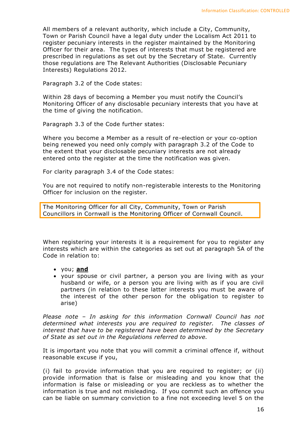All members of a relevant authority, which include a City, Community, Town or Parish Council have a legal duty under the Localism Act 2011 to register pecuniary interests in the register maintained by the Monitoring Officer for their area. The types of interests that must be registered are prescribed in regulations as set out by the Secretary of State. Currently those regulations are The Relevant Authorities (Disclosable Pecuniary Interests) Regulations 2012.

Paragraph 3.2 of the Code states:

Within 28 days of becoming a Member you must notify the Council's Monitoring Officer of any disclosable pecuniary interests that you have at the time of giving the notification.

Paragraph 3.3 of the Code further states:

Where you become a Member as a result of re-election or your co-option being renewed you need only comply with paragraph 3.2 of the Code to the extent that your disclosable pecuniary interests are not already entered onto the register at the time the notification was given.

For clarity paragraph 3.4 of the Code states:

You are not required to notify non-registerable interests to the Monitoring Officer for inclusion on the register.

The Monitoring Officer for all City, Community, Town or Parish Councillors in Cornwall is the Monitoring Officer of Cornwall Council.

When registering your interests it is a requirement for you to register any interests which are within the categories as set out at paragraph 5A of the Code in relation to:

- you; **and**
- your spouse or civil partner, a person you are living with as your husband or wife, or a person you are living with as if you are civil partners (in relation to these latter interests you must be aware of the interest of the other person for the obligation to register to arise)

*Please note – In asking for this information Cornwall Council has not determined what interests you are required to register. The classes of interest that have to be registered have been determined by the Secretary of State as set out in the Regulations referred to above.*

It is important you note that you will commit a criminal offence if, without reasonable excuse if you,

(i) fail to provide information that you are required to register; or (ii) provide information that is false or misleading and you know that the information is false or misleading or you are reckless as to whether the information is true and not misleading. If you commit such an offence you can be liable on summary conviction to a fine not exceeding level 5 on the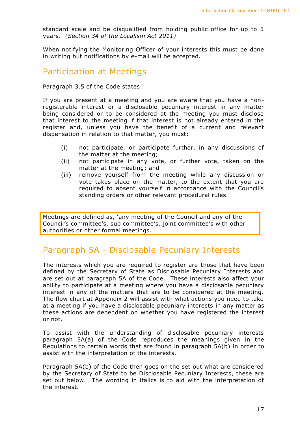standard scale and be disqualified from holding public office for up to 5 years. *(Section 34 of the Localism Act 2011)*

When notifying the Monitoring Officer of your interests this must be done in writing but notifications by e-mail will be accepted.

#### Participation at Meetings

Paragraph 3.5 of the Code states:

If you are present at a meeting and you are aware that you have a nonregisterable interest or a disclosable pecuniary interest in any matter being considered or to be considered at the meeting you must disclose that interest to the meeting if that interest is not already entered in the register and, unless you have the benefit of a current and relevant dispensation in relation to that matter, you must:

- (i) not participate, or participate further, in any discussions of the matter at the meeting;
- (ii) not participate in any vote, or further vote, taken on the matter at the meeting; and
- (iii) remove yourself from the meeting while any discussion or vote takes place on the matter, to the extent that you are required to absent yourself in accordance with the Council's standing orders or other relevant procedural rules.

Meetings are defined as, 'any meeting of the Council and any of the Council's committee's, sub committee's, joint committee's with other authorities or other formal meetings.

## Paragraph 5A - Disclosable Pecuniary Interests

The interests which you are required to register are those that have been defined by the Secretary of State as Disclosable Pecuniary Interests and are set out at paragraph 5A of the Code. These interests also affect your ability to participate at a meeting where you have a disclosable pecuniary interest in any of the matters that are to be considered at the meeting. The flow chart at Appendix 2 will assist with what actions you need to take at a meeting if you have a disclosable pecuniary interests in any matter as these actions are dependent on whether you have registered the interest or not.

To assist with the understanding of disclosable pecuniary interests paragraph 5A(a) of the Code reproduces the meanings given in the Regulations to certain words that are found in paragraph 5A(b) in order to assist with the interpretation of the interests.

Paragraph 5A(b) of the Code then goes on the set out what are considered by the Secretary of State to be Disclosable Pecuniary Interests, these are set out below. The wording in italics is to aid with the interpretation of the interest.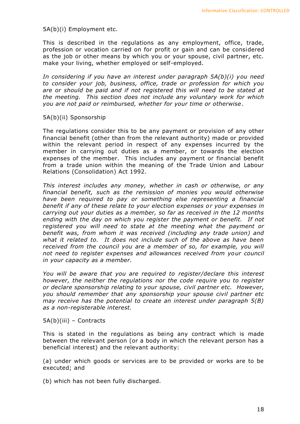#### 5A(b)(i) Employment etc.

This is described in the regulations as any employment, office, trade, profession or vocation carried on for profit or gain and can be considered as the job or other means by which you or your spouse, civil partner, etc. make your living, whether employed or self-employed.

*In considering if you have an interest under paragraph 5A(b)(i) you need to consider your job, business, office, trade or profession for which you are or should be paid and if not registered this will need to be stated at the meeting. This section does not include any voluntary work for which you are not paid or reimbursed, whether for your time or otherwise*.

#### 5A(b)(ii) Sponsorship

The regulations consider this to be any payment or provision of any other financial benefit (other than from the relevant authority) made or provided within the relevant period in respect of any expenses incurred by the member in carrying out duties as a member, or towards the election expenses of the member. This includes any payment or financial benefit from a trade union within the meaning of the Trade Union and Labour Relations (Consolidation) Act 1992*.*

*This interest includes any money, whether in cash or otherwise, or any financial benefit, such as the remission of monies you would otherwise have been required to pay or something else representing a financial benefit if any of these relate to your election expenses or your expenses in carrying out your duties as a member, so far as received in the 12 months ending with the day on which you register the payment or benefit. If not registered you will need to state at the meeting what the payment or benefit was, from whom it was received (including any trade union) and what it related to. It does not include such of the above as have been received from the council you are a member of so, for example, you will not need to register expenses and allowances received from your council in your capacity as a member.*

*You will be aware that you are required to register/declare this interest however, the neither the regulations nor the code require you to register or declare sponsorship relating to your spouse, civil partner etc. However, you should remember that any sponsorship your spouse civil partner etc may receive has the potential to create an interest under paragraph 5(B) as a non-registerable interest.* 

#### 5A(b)(iii) – Contracts

This is stated in the regulations as being any contract which is made between the relevant person (or a body in which the relevant person has a beneficial interest) and the relevant authority:

(a) under which goods or services are to be provided or works are to be executed; and

(b) which has not been fully discharged.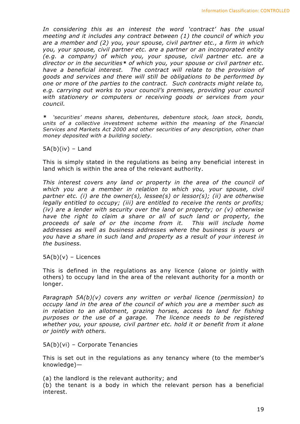*In considering this as an interest the word 'contract' has the usual meeting and it includes any contract between (1) the council of which you are a member and (2) you, your spouse, civil partner etc., a firm in which you, your spouse, civil partner etc. are a partner or an incorporated entity (e.g. a company) of which you, your spouse, civil partner etc. are a director or in the securities\* of which you, your spouse or civil partner etc. have a beneficial interest. The contract will relate to the provision of goods and services and there will still be obligations to be performed by one or more of the parties to the contract. Such contracts might relate to, e.g. carrying out works to your council's premises, providing your council with stationery or computers or receiving goods or services from your council.*

*\* 'securities' means shares, debentures, debenture stock, loan stock, bonds, units of a collective investment scheme within the meaning of the Financial Services and Markets Act 2000 and other securities of any description, other than money deposited with a building society.*

 $5A(b)(iv)$  – Land

This is simply stated in the regulations as being any beneficial interest in land which is within the area of the relevant authority.

*This interest covers any land or property in the area of the council of which you are a member in relation to which you, your spouse, civil partner etc. (i) are the owner(s), lessee(s) or lessor(s); (ii) are otherwise legally entitled to occupy; (iii) are entitled to receive the rents or profits; (iv) are a lender with security over the land or property; or (v) otherwise have the right to claim a share or all of such land or property, the proceeds of sale of or the income from it. This will include home addresses as well as business addresses where the business is yours or you have a share in such land and property as a result of your interest in the business.*

 $5A(b)(v)$  – Licences

This is defined in the regulations as any licence (alone or jointly with others) to occupy land in the area of the relevant authority for a month or longer.

*Paragraph 5A(b)(v) covers any written or verbal licence (permission) to occupy land in the area of the council of which you are a member such as*  in relation to an allotment, grazing horses, access to land for fishing *purposes or the use of a garage. The licence needs to be registered whether you, your spouse, civil partner etc. hold it or benefit from it alone or jointly with others.*

5A(b)(vi) – Corporate Tenancies

This is set out in the regulations as any tenancy where (to the member's knowledge)—

(a) the landlord is the relevant authority; and

(b) the tenant is a body in which the relevant person has a beneficial interest.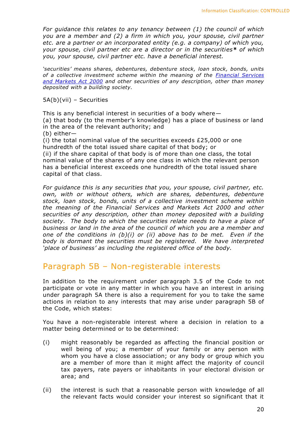*For guidance this relates to any tenancy between (1) the council of which you are a member and (2) a firm in which you, your spouse, civil partner etc. are a partner or an incorporated entity (e.g. a company) of which you, your spouse, civil partner etc are a director or in the securities\* of which you, your spouse, civil partner etc. have a beneficial interest.*

*'securities' means shares, debentures, debenture stock, loan stock, bonds, units of a collective investment scheme within the meaning of the [Financial Services](http://www.lexisnexis.com/uk/legal/search/runRemoteLink.do?langcountry=GB&linkInfo=F%23GB%23UK_ACTS%23num%252000_8a_Title%25&risb=21_T15070666412&bct=A&service=citation&A=0.40199331026391716)  [and Markets Act 2000](http://www.lexisnexis.com/uk/legal/search/runRemoteLink.do?langcountry=GB&linkInfo=F%23GB%23UK_ACTS%23num%252000_8a_Title%25&risb=21_T15070666412&bct=A&service=citation&A=0.40199331026391716) and other securities of any description, other than money deposited with a building society.*

5A(b)(vii) – Securities

This is any beneficial interest in securities of a body where— (a) that body (to the member's knowledge) has a place of business or land in the area of the relevant authority; and (b) either— (i) the total nominal value of the securities exceeds £25,000 or one hundredth of the total issued share capital of that body; or (ii) if the share capital of that body is of more than one class, the total

nominal value of the shares of any one class in which the relevant person has a beneficial interest exceeds one hundredth of the total issued share capital of that class.

*For guidance this is any securities that you, your spouse, civil partner, etc. own, with or without others, which are shares, debentures, debenture stock, loan stock, bonds, units of a collective investment scheme within the meaning of the Financial Services and Markets Act 2000 and other securities of any description, other than money deposited with a building society. The body to which the securities relate needs to have a place of business or land in the area of the council of which you are a member and one of the conditions in (b)(i) or (ii) above has to be met. Even if the body is dormant the securities must be registered. We have interpreted 'place of business' as including the registered office of the body.*

#### Paragraph 5B – Non-registerable interests

In addition to the requirement under paragraph 3.5 of the Code to not participate or vote in any matter in which you have an interest in arising under paragraph 5A there is also a requirement for you to take the same actions in relation to any interests that may arise under paragraph 5B of the Code, which states:

You have a non-registerable interest where a decision in relation to a matter being determined or to be determined:

- (i) might reasonably be regarded as affecting the financial position or well being of you; a member of your family or any person with whom you have a close association; or any body or group which you are a member of more than it might affect the majority of council tax payers, rate payers or inhabitants in your electoral division or area; and
- (ii) the interest is such that a reasonable person with knowledge of all the relevant facts would consider your interest so significant that it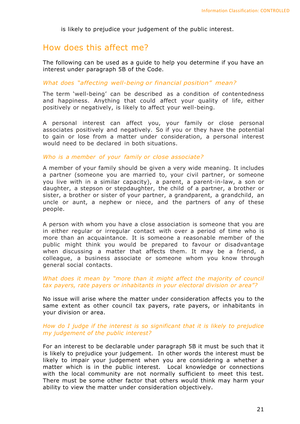is likely to prejudice your judgement of the public interest.

#### How does this affect me?

The following can be used as a guide to help you determine if you have an interest under paragraph 5B of the Code.

#### *What does "affecting well-being or financial position" mean?*

The term 'well-being' can be described as a condition of contentedness and happiness. Anything that could affect your quality of life, either positively or negatively, is likely to affect your well-being.

A personal interest can affect you, your family or close personal associates positively and negatively. So if you or they have the potential to gain or lose from a matter under consideration, a personal interest would need to be declared in both situations.

#### *Who is a member of your family or close associate?*

A member of your family should be given a very wide meaning. It includes a partner (someone you are married to, your civil partner, or someone you live with in a similar capacity), a parent, a parent-in-law, a son or daughter, a stepson or stepdaughter, the child of a partner, a brother or sister, a brother or sister of your partner, a grandparent, a grandchild, an uncle or aunt, a nephew or niece, and the partners of any of these people.

A person with whom you have a close association is someone that you are in either regular or irregular contact with over a period of time who is more than an acquaintance. It is someone a reasonable member of the public might think you would be prepared to favour or disadvantage when discussing a matter that affects them. It may be a friend, a colleague, a business associate or someone whom you know through general social contacts.

#### *What does it mean by "more than it might affect the majority of council tax payers, rate payers or inhabitants in your electoral division or area"?*

No issue will arise where the matter under consideration affects you to the same extent as other council tax payers, rate payers, or inhabitants in your division or area.

#### *How do I judge if the interest is so significant that it is likely to prejudice my judgement of the public interest?*

For an interest to be declarable under paragraph 5B it must be such that it is likely to prejudice your judgement. In other words the interest must be likely to impair your judgement when you are considering a whether a matter which is in the public interest. Local knowledge or connections with the local community are not normally sufficient to meet this test. There must be some other factor that others would think may harm your ability to view the matter under consideration objectively.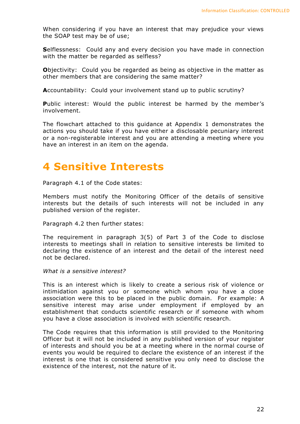When considering if you have an interest that may prejudice your views the SOAP test may be of use;

**S**elflessness: Could any and every decision you have made in connection with the matter be regarded as selfless?

**O**bjectivity: Could you be regarded as being as objective in the matter as other members that are considering the same matter?

**A**ccountability: Could your involvement stand up to public scrutiny?

Public interest: Would the public interest be harmed by the member's involvement.

The flowchart attached to this guidance at Appendix 1 demonstrates the actions you should take if you have either a disclosable pecuniary interest or a non-registerable interest and you are attending a meeting where you have an interest in an item on the agenda.

# **4 Sensitive Interests**

Paragraph 4.1 of the Code states:

Members must notify the Monitoring Officer of the details of sensitive interests but the details of such interests will not be included in any published version of the register.

Paragraph 4.2 then further states:

The requirement in paragraph 3(5) of Part 3 of the Code to disclose interests to meetings shall in relation to sensitive interests be limited to declaring the existence of an interest and the detail of the interest need not be declared.

*What is a sensitive interest?*

This is an interest which is likely to create a serious risk of violence or intimidation against you or someone which whom you have a close association were this to be placed in the public domain. For example: A sensitive interest may arise under employment if employed by an establishment that conducts scientific research or if someone with whom you have a close association is involved with scientific research.

The Code requires that this information is still provided to the Monitoring Officer but it will not be included in any published version of your register of interests and should you be at a meeting where in the normal course of events you would be required to declare the existence of an interest if the interest is one that is considered sensitive you only need to disclose the existence of the interest, not the nature of it.